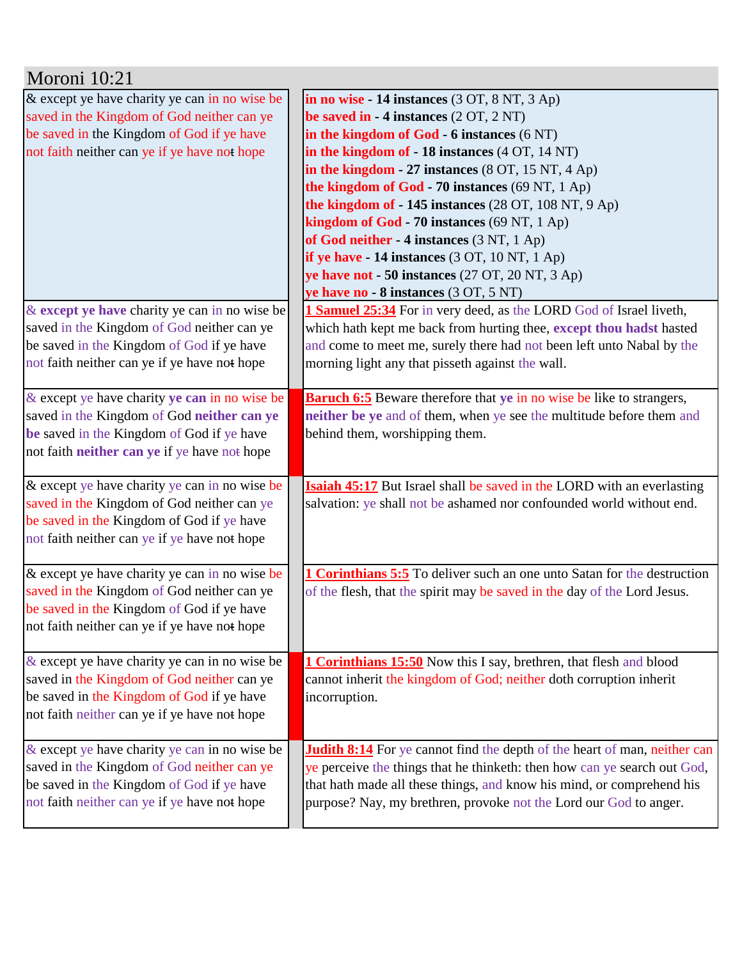| Moroni 10:21                                     |                                                                                  |
|--------------------------------------------------|----------------------------------------------------------------------------------|
| & except ye have charity ye can in no wise be    | in no wise $-14$ instances $(3 OT, 8 NT, 3 Ap)$                                  |
| saved in the Kingdom of God neither can ye       | be saved in $-4$ instances $(2 OT, 2 NT)$                                        |
| be saved in the Kingdom of God if ye have        | in the kingdom of God - 6 instances (6 NT)                                       |
| not faith neither can ye if ye have not hope     | in the kingdom of - 18 instances (4 OT, 14 NT)                                   |
|                                                  | in the kingdom - 27 instances $(8$ OT, 15 NT, 4 Ap)                              |
|                                                  | the kingdom of God - 70 instances (69 NT, 1 Ap)                                  |
|                                                  | the kingdom of - 145 instances (28 OT, 108 NT, 9 Ap)                             |
|                                                  | kingdom of God - 70 instances (69 NT, 1 Ap)                                      |
|                                                  | of God neither - 4 instances (3 NT, 1 Ap)                                        |
|                                                  | if ye have $-14$ instances $(3 OT, 10 NT, 1 Ap)$                                 |
|                                                  | ye have not - 50 instances (27 OT, 20 NT, 3 Ap)                                  |
|                                                  | ye have no - 8 instances (3 OT, 5 NT)                                            |
| & except ye have charity ye can in no wise be    | 1 Samuel 25:34 For in very deed, as the LORD God of Israel liveth,               |
| saved in the Kingdom of God neither can ye       | which hath kept me back from hurting thee, except thou hadst hasted              |
| be saved in the Kingdom of God if ye have        | and come to meet me, surely there had not been left unto Nabal by the            |
| not faith neither can ye if ye have not hope     | morning light any that pisseth against the wall.                                 |
|                                                  |                                                                                  |
| & except ye have charity ye can in no wise be    | <b>Baruch 6:5</b> Beware therefore that ye in no wise be like to strangers,      |
| saved in the Kingdom of God neither can ye       | neither be ye and of them, when ye see the multitude before them and             |
| be saved in the Kingdom of God if ye have        | behind them, worshipping them.                                                   |
| not faith neither can ye if ye have not hope     |                                                                                  |
|                                                  |                                                                                  |
| & except ye have charity ye can in no wise be    | <b>Isaiah 45:17</b> But Israel shall be saved in the LORD with an everlasting    |
| saved in the Kingdom of God neither can ye       | salvation: ye shall not be ashamed nor confounded world without end.             |
| be saved in the Kingdom of God if ye have        |                                                                                  |
| not faith neither can ye if ye have not hope     |                                                                                  |
|                                                  |                                                                                  |
| & except ye have charity ye can in no wise be    | 1 Corinthians 5:5 To deliver such an one unto Satan for the destruction          |
| saved in the Kingdom of God neither can ye       | of the flesh, that the spirit may be saved in the day of the Lord Jesus.         |
| be saved in the Kingdom of God if ye have        |                                                                                  |
| not faith neither can ye if ye have not hope     |                                                                                  |
| $\&$ except ye have charity ye can in no wise be | <b>1 Corinthians 15:50</b> Now this I say, brethren, that flesh and blood        |
| saved in the Kingdom of God neither can ye       | cannot inherit the kingdom of God; neither doth corruption inherit               |
| be saved in the Kingdom of God if ye have        | incorruption.                                                                    |
| not faith neither can ye if ye have not hope     |                                                                                  |
|                                                  |                                                                                  |
| & except ye have charity ye can in no wise be    | <b>Judith 8:14</b> For ye cannot find the depth of the heart of man, neither can |
| saved in the Kingdom of God neither can ye       | ye perceive the things that he thinketh: then how can ye search out God,         |
| be saved in the Kingdom of God if ye have        | that hath made all these things, and know his mind, or comprehend his            |
| not faith neither can ye if ye have not hope     | purpose? Nay, my brethren, provoke not the Lord our God to anger.                |
|                                                  |                                                                                  |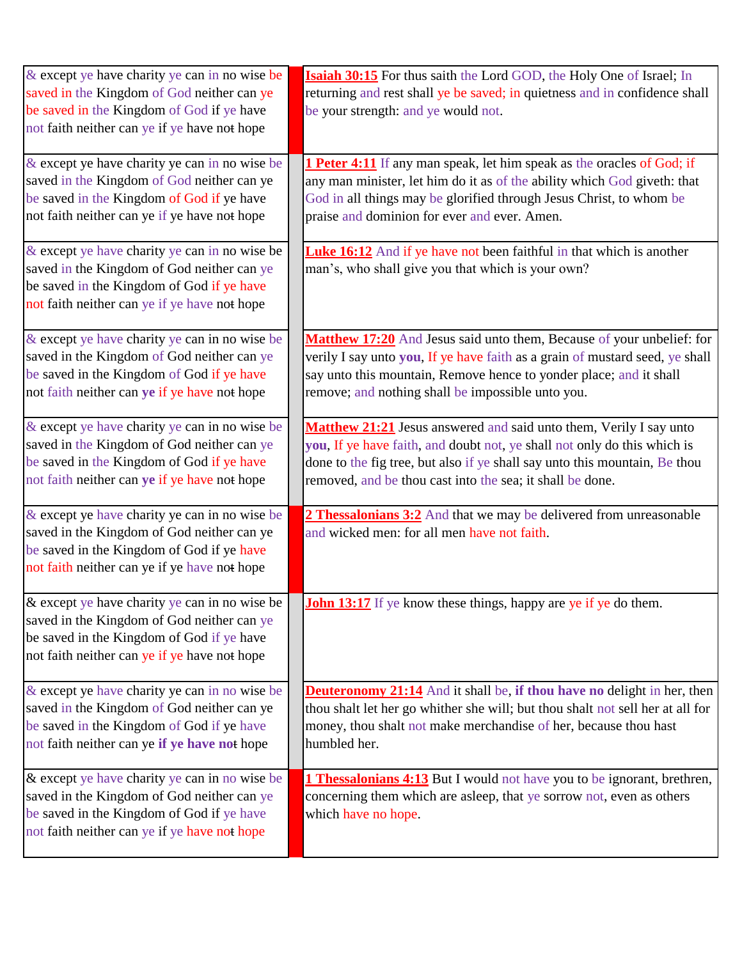| & except ye have charity ye can in no wise be<br>saved in the Kingdom of God neither can ye<br>be saved in the Kingdom of God if ye have<br>not faith neither can ye if ye have not hope | <b>Isaiah 30:15</b> For thus saith the Lord GOD, the Holy One of Israel; In<br>returning and rest shall ye be saved; in quietness and in confidence shall<br>be your strength: and ye would not.                                                                                          |
|------------------------------------------------------------------------------------------------------------------------------------------------------------------------------------------|-------------------------------------------------------------------------------------------------------------------------------------------------------------------------------------------------------------------------------------------------------------------------------------------|
| & except ye have charity ye can in no wise be<br>saved in the Kingdom of God neither can ye<br>be saved in the Kingdom of God if ye have<br>not faith neither can ye if ye have not hope | <b>1 Peter 4:11</b> If any man speak, let him speak as the oracles of God; if<br>any man minister, let him do it as of the ability which God giveth: that<br>God in all things may be glorified through Jesus Christ, to whom be<br>praise and dominion for ever and ever. Amen.          |
| & except ye have charity ye can in no wise be<br>saved in the Kingdom of God neither can ye<br>be saved in the Kingdom of God if ye have<br>not faith neither can ye if ye have not hope | <b>Luke 16:12</b> And if ye have not been faithful in that which is another<br>man's, who shall give you that which is your own?                                                                                                                                                          |
| & except ye have charity ye can in no wise be<br>saved in the Kingdom of God neither can ye<br>be saved in the Kingdom of God if ye have<br>not faith neither can ye if ye have not hope | Matthew 17:20 And Jesus said unto them, Because of your unbelief: for<br>verily I say unto you, If ye have faith as a grain of mustard seed, ye shall<br>say unto this mountain, Remove hence to yonder place; and it shall<br>remove; and nothing shall be impossible unto you.          |
| & except ye have charity ye can in no wise be<br>saved in the Kingdom of God neither can ye<br>be saved in the Kingdom of God if ye have<br>not faith neither can ye if ye have not hope | Matthew 21:21 Jesus answered and said unto them, Verily I say unto<br>you, If ye have faith, and doubt not, ye shall not only do this which is<br>done to the fig tree, but also if ye shall say unto this mountain, Be thou<br>removed, and be thou cast into the sea; it shall be done. |
| & except ye have charity ye can in no wise be<br>saved in the Kingdom of God neither can ye<br>be saved in the Kingdom of God if ye have<br>not faith neither can ye if ye have not hope | 2 Thessalonians 3:2 And that we may be delivered from unreasonable<br>and wicked men: for all men have not faith.                                                                                                                                                                         |
| & except ye have charity ye can in no wise be<br>saved in the Kingdom of God neither can ye<br>be saved in the Kingdom of God if ye have<br>not faith neither can ye if ye have not hope | <b>John 13:17</b> If ye know these things, happy are ye if ye do them.                                                                                                                                                                                                                    |
| & except ye have charity ye can in no wise be<br>saved in the Kingdom of God neither can ye<br>be saved in the Kingdom of God if ye have<br>not faith neither can ye if ye have not hope | <b>Deuteronomy 21:14</b> And it shall be, if thou have no delight in her, then<br>thou shalt let her go whither she will; but thou shalt not sell her at all for<br>money, thou shalt not make merchandise of her, because thou hast<br>humbled her.                                      |
| & except ye have charity ye can in no wise be<br>saved in the Kingdom of God neither can ye<br>be saved in the Kingdom of God if ye have<br>not faith neither can ye if ye have not hope | <b>1 Thessalonians 4:13</b> But I would not have you to be ignorant, brethren,<br>concerning them which are asleep, that ye sorrow not, even as others<br>which have no hope.                                                                                                             |